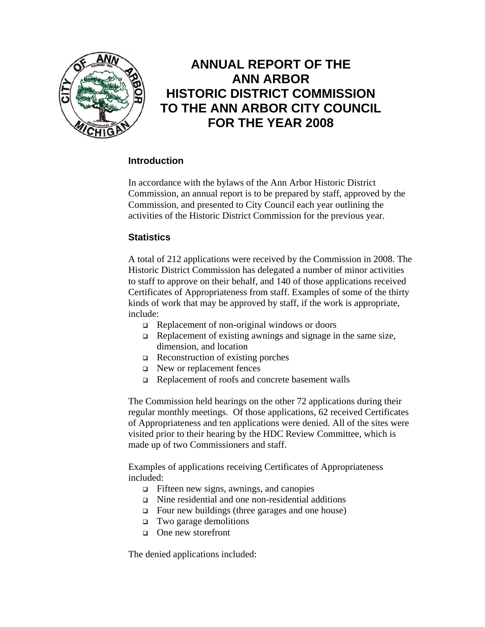

# **ANNUAL REPORT OF THE ANN ARBOR HISTORIC DISTRICT COMMISSION TO THE ANN ARBOR CITY COUNCIL FOR THE YEAR 2008**

# **Introduction**

In accordance with the bylaws of the Ann Arbor Historic District Commission, an annual report is to be prepared by staff, approved by the Commission, and presented to City Council each year outlining the activities of the Historic District Commission for the previous year.

### **Statistics**

A total of 212 applications were received by the Commission in 2008. The Historic District Commission has delegated a number of minor activities to staff to approve on their behalf, and 140 of those applications received Certificates of Appropriateness from staff. Examples of some of the thirty kinds of work that may be approved by staff, if the work is appropriate, include:

- $\Box$  Replacement of non-original windows or doors
- $\Box$  Replacement of existing awnings and signage in the same size, dimension, and location
- $\Box$  Reconstruction of existing porches
- New or replacement fences
- Replacement of roofs and concrete basement walls

The Commission held hearings on the other 72 applications during their regular monthly meetings. Of those applications, 62 received Certificates of Appropriateness and ten applications were denied. All of the sites were visited prior to their hearing by the HDC Review Committee, which is made up of two Commissioners and staff.

Examples of applications receiving Certificates of Appropriateness included:

- $\Box$  Fifteen new signs, awnings, and canopies
- Nine residential and one non-residential additions
- Four new buildings (three garages and one house)
- Two garage demolitions
- □ One new storefront

The denied applications included: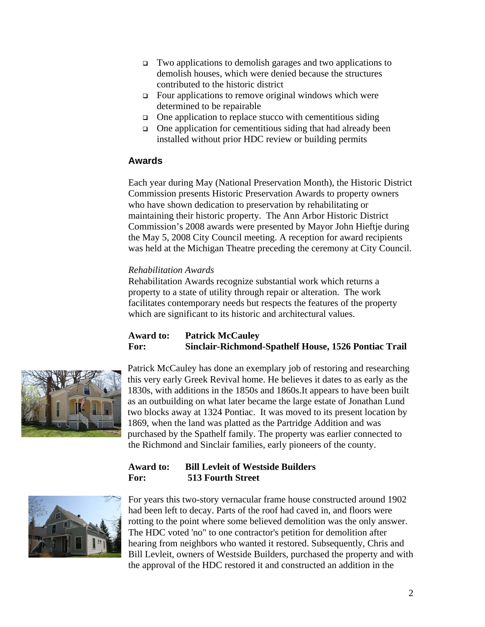- Two applications to demolish garages and two applications to demolish houses, which were denied because the structures contributed to the historic district
- Four applications to remove original windows which were determined to be repairable
- $\Box$  One application to replace stucco with cementitious siding
- $\Box$  One application for cementitious siding that had already been installed without prior HDC review or building permits

### **Awards**

Each year during May (National Preservation Month), the Historic District Commission presents Historic Preservation Awards to property owners who have shown dedication to preservation by rehabilitating or maintaining their historic property. The Ann Arbor Historic District Commission's 2008 awards were presented by Mayor John Hieftje during the May 5, 2008 City Council meeting. A reception for award recipients was held at the Michigan Theatre preceding the ceremony at City Council.

#### *Rehabilitation Awards*

Rehabilitation Awards recognize substantial work which returns a property to a state of utility through repair or alteration. The work facilitates contemporary needs but respects the features of the property which are significant to its historic and architectural values.

# **Award to: Patrick McCauley For: Sinclair-Richmond-Spathelf House, 1526 Pontiac Trail**



Patrick McCauley has done an exemplary job of restoring and researching this very early Greek Revival home. He believes it dates to as early as the 1830s, with additions in the 1850s and 1860s.It appears to have been built as an outbuilding on what later became the large estate of Jonathan Lund two blocks away at 1324 Pontiac. It was moved to its present location by 1869, when the land was platted as the Partridge Addition and was purchased by the Spathelf family. The property was earlier connected to the Richmond and Sinclair families, early pioneers of the county.

# **Award to: Bill Levleit of Westside Builders For: 513 Fourth Street**



For years this two-story vernacular frame house constructed around 1902 had been left to decay. Parts of the roof had caved in, and floors were rotting to the point where some believed demolition was the only answer. The HDC voted 'no" to one contractor's petition for demolition after hearing from neighbors who wanted it restored. Subsequently, Chris and Bill Levleit, owners of Westside Builders, purchased the property and with the approval of the HDC restored it and constructed an addition in the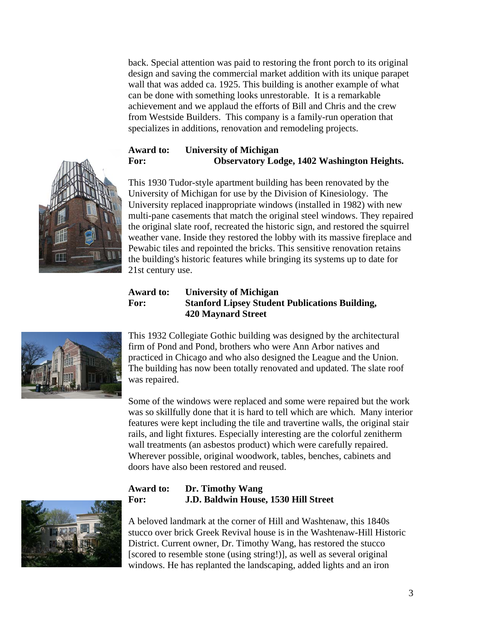back. Special attention was paid to restoring the front porch to its original design and saving the commercial market addition with its unique parapet wall that was added ca. 1925. This building is another example of what can be done with something looks unrestorable. It is a remarkable achievement and we applaud the efforts of Bill and Chris and the crew from Westside Builders. This company is a family-run operation that specializes in additions, renovation and remodeling projects.

# **Award to: University of Michigan For: Observatory Lodge, 1402 Washington Heights.**



This 1930 Tudor-style apartment building has been renovated by the University of Michigan for use by the Division of Kinesiology. The University replaced inappropriate windows (installed in 1982) with new multi-pane casements that match the original steel windows. They repaired the original slate roof, recreated the historic sign, and restored the squirrel weather vane. Inside they restored the lobby with its massive fireplace and Pewabic tiles and repointed the bricks. This sensitive renovation retains the building's historic features while bringing its systems up to date for 21st century use.

#### **Award to: University of Michigan For: Stanford Lipsey Student Publications Building, 420 Maynard Street**



This 1932 Collegiate Gothic building was designed by the architectural firm of Pond and Pond, brothers who were Ann Arbor natives and practiced in Chicago and who also designed the League and the Union. The building has now been totally renovated and updated. The slate roof was repaired.

Some of the windows were replaced and some were repaired but the work was so skillfully done that it is hard to tell which are which. Many interior features were kept including the tile and travertine walls, the original stair rails, and light fixtures. Especially interesting are the colorful zenitherm wall treatments (an asbestos product) which were carefully repaired. Wherever possible, original woodwork, tables, benches, cabinets and doors have also been restored and reused.



### **Award to: Dr. Timothy Wang For: J.D. Baldwin House, 1530 Hill Street**

A beloved landmark at the corner of Hill and Washtenaw, this 1840s stucco over brick Greek Revival house is in the Washtenaw-Hill Historic District. Current owner, Dr. Timothy Wang, has restored the stucco [scored to resemble stone (using string!)], as well as several original windows. He has replanted the landscaping, added lights and an iron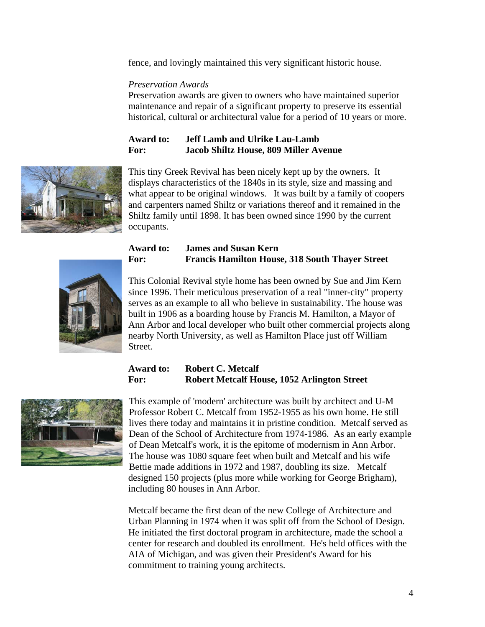fence, and lovingly maintained this very significant historic house.

#### *Preservation Awards*

Preservation awards are given to owners who have maintained superior maintenance and repair of a significant property to preserve its essential historical, cultural or architectural value for a period of 10 years or more.

### **Award to: Jeff Lamb and Ulrike Lau-Lamb For: Jacob Shiltz House, 809 Miller Avenue**



This tiny Greek Revival has been nicely kept up by the owners. It displays characteristics of the 1840s in its style, size and massing and what appear to be original windows. It was built by a family of coopers and carpenters named Shiltz or variations thereof and it remained in the Shiltz family until 1898. It has been owned since 1990 by the current occupants.



#### **Award to: James and Susan Kern For: Francis Hamilton House, 318 South Thayer Street**

This Colonial Revival style home has been owned by Sue and Jim Kern since 1996. Their meticulous preservation of a real "inner-city" property serves as an example to all who believe in sustainability. The house was built in 1906 as a boarding house by Francis M. Hamilton, a Mayor of Ann Arbor and local developer who built other commercial projects along nearby North University, as well as Hamilton Place just off William Street.

# **Award to: Robert C. Metcalf For: Robert Metcalf House, 1052 Arlington Street**



This example of 'modern' architecture was built by architect and U-M Professor Robert C. Metcalf from 1952-1955 as his own home. He still lives there today and maintains it in pristine condition. Metcalf served as Dean of the School of Architecture from 1974-1986. As an early example of Dean Metcalf's work, it is the epitome of modernism in Ann Arbor. The house was 1080 square feet when built and Metcalf and his wife Bettie made additions in 1972 and 1987, doubling its size. Metcalf designed 150 projects (plus more while working for George Brigham), including 80 houses in Ann Arbor.

Metcalf became the first dean of the new College of Architecture and Urban Planning in 1974 when it was split off from the School of Design. He initiated the first doctoral program in architecture, made the school a center for research and doubled its enrollment. He's held offices with the AIA of Michigan, and was given their President's Award for his commitment to training young architects.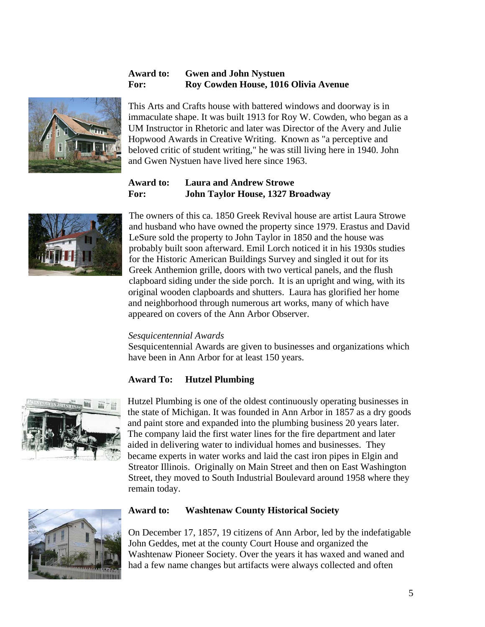## **Award to: Gwen and John Nystuen For: Roy Cowden House, 1016 Olivia Avenue**



This Arts and Crafts house with battered windows and doorway is in immaculate shape. It was built 1913 for Roy W. Cowden, who began as a UM Instructor in Rhetoric and later was Director of the Avery and Julie Hopwood Awards in Creative Writing. Known as "a perceptive and beloved critic of student writing," he was still living here in 1940. John and Gwen Nystuen have lived here since 1963.

# **Award to: Laura and Andrew Strowe For: John Taylor House, 1327 Broadway**



The owners of this ca. 1850 Greek Revival house are artist Laura Strowe and husband who have owned the property since 1979. Erastus and David LeSure sold the property to John Taylor in 1850 and the house was probably built soon afterward. Emil Lorch noticed it in his 1930s studies for the Historic American Buildings Survey and singled it out for its Greek Anthemion grille, doors with two vertical panels, and the flush clapboard siding under the side porch. It is an upright and wing, with its original wooden clapboards and shutters. Laura has glorified her home and neighborhood through numerous art works, many of which have appeared on covers of the Ann Arbor Observer.

#### *Sesquicentennial Awards*

Sesquicentennial Awards are given to businesses and organizations which have been in Ann Arbor for at least 150 years.

### **Award To: Hutzel Plumbing**



Hutzel Plumbing is one of the oldest continuously operating businesses in the state of Michigan. It was founded in Ann Arbor in 1857 as a dry goods and paint store and expanded into the plumbing business 20 years later. The company laid the first water lines for the fire department and later aided in delivering water to individual homes and businesses. They became experts in water works and laid the cast iron pipes in Elgin and Streator Illinois. Originally on Main Street and then on East Washington Street, they moved to South Industrial Boulevard around 1958 where they remain today.



#### **Award to: Washtenaw County Historical Society**

On December 17, 1857, 19 citizens of Ann Arbor, led by the indefatigable John Geddes, met at the county Court House and organized the Washtenaw Pioneer Society. Over the years it has waxed and waned and had a few name changes but artifacts were always collected and often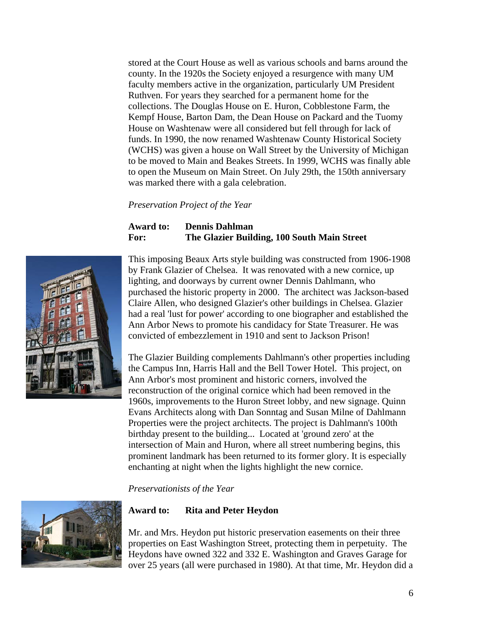stored at the Court House as well as various schools and barns around the county. In the 1920s the Society enjoyed a resurgence with many UM faculty members active in the organization, particularly UM President Ruthven. For years they searched for a permanent home for the collections. The Douglas House on E. Huron, Cobblestone Farm, the Kempf House, Barton Dam, the Dean House on Packard and the Tuomy House on Washtenaw were all considered but fell through for lack of funds. In 1990, the now renamed Washtenaw County Historical Society (WCHS) was given a house on Wall Street by the University of Michigan to be moved to Main and Beakes Streets. In 1999, WCHS was finally able to open the Museum on Main Street. On July 29th, the 150th anniversary was marked there with a gala celebration.

*Preservation Project of the Year* 

#### **Award to: Dennis Dahlman For: The Glazier Building, 100 South Main Street**



This imposing Beaux Arts style building was constructed from 1906-1908 by Frank Glazier of Chelsea. It was renovated with a new cornice, up lighting, and doorways by current owner Dennis Dahlmann, who purchased the historic property in 2000. The architect was Jackson-based Claire Allen, who designed Glazier's other buildings in Chelsea. Glazier had a real 'lust for power' according to one biographer and established the Ann Arbor News to promote his candidacy for State Treasurer. He was convicted of embezzlement in 1910 and sent to Jackson Prison!

The Glazier Building complements Dahlmann's other properties including the Campus Inn, Harris Hall and the Bell Tower Hotel. This project, on Ann Arbor's most prominent and historic corners, involved the reconstruction of the original cornice which had been removed in the 1960s, improvements to the Huron Street lobby, and new signage. Quinn Evans Architects along with Dan Sonntag and Susan Milne of Dahlmann Properties were the project architects. The project is Dahlmann's 100th birthday present to the building... Located at 'ground zero' at the intersection of Main and Huron, where all street numbering begins, this prominent landmark has been returned to its former glory. It is especially enchanting at night when the lights highlight the new cornice.

*Preservationists of the Year* 



#### **Award to: Rita and Peter Heydon**

Mr. and Mrs. Heydon put historic preservation easements on their three properties on East Washington Street, protecting them in perpetuity. The Heydons have owned 322 and 332 E. Washington and Graves Garage for over 25 years (all were purchased in 1980). At that time, Mr. Heydon did a